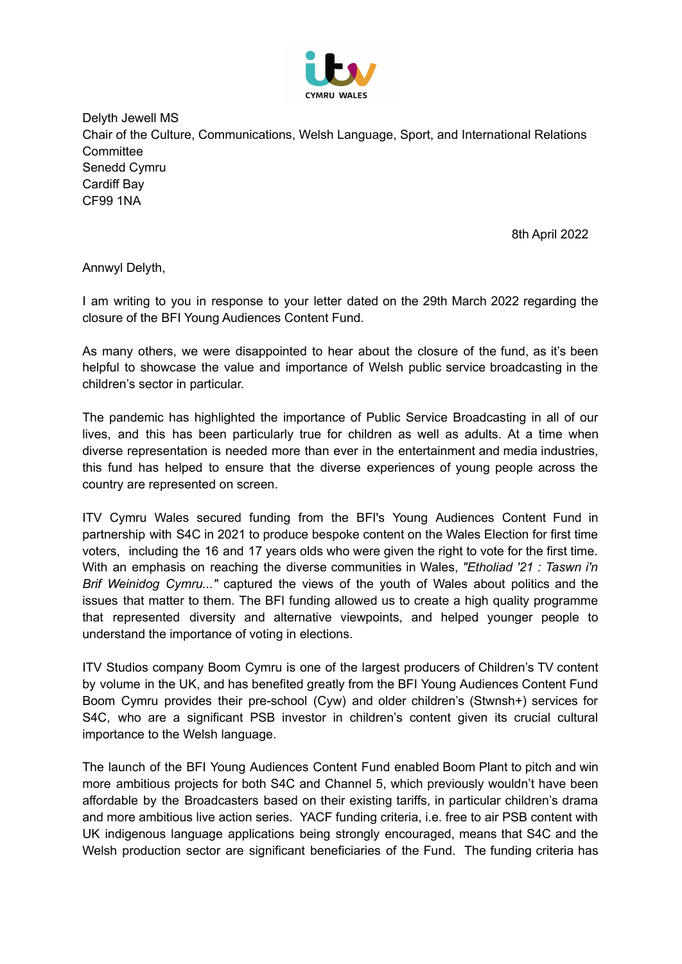

Delyth Jewell MS Chair of the Culture, Communications, Welsh Language, Sport, and International Relations **Committee** Senedd Cymru Cardiff Bay CF99 1NA

8th April 2022

Annwyl Delyth,

I am writing to you in response to your letter dated on the 29th March 2022 regarding the closure of the BFI Young Audiences Content Fund.

As many others, we were disappointed to hear about the closure of the fund, as it's been helpful to showcase the value and importance of Welsh public service broadcasting in the children's sector in particular.

The pandemic has highlighted the importance of Public Service Broadcasting in all of our lives, and this has been particularly true for children as well as adults. At a time when diverse representation is needed more than ever in the entertainment and media industries, this fund has helped to ensure that the diverse experiences of young people across the country are represented on screen.

ITV Cymru Wales secured funding from the BFI's Young Audiences Content Fund in partnership with S4C in 2021 to produce bespoke content on the Wales Election for first time voters, including the 16 and 17 years olds who were given the right to vote for the first time. With an emphasis on reaching the diverse communities in Wales, *"Etholiad '21 : Taswn i'n Brif Weinidog Cymru..."* captured the views of the youth of Wales about politics and the issues that matter to them. The BFI funding allowed us to create a high quality programme that represented diversity and alternative viewpoints, and helped younger people to understand the importance of voting in elections.

ITV Studios company Boom Cymru is one of the largest producers of Children's TV content by volume in the UK, and has benefited greatly from the BFI Young Audiences Content Fund Boom Cymru provides their pre-school (Cyw) and older children's (Stwnsh+) services for S4C, who are a significant PSB investor in children's content given its crucial cultural importance to the Welsh language.

The launch of the BFI Young Audiences Content Fund enabled Boom Plant to pitch and win more ambitious projects for both S4C and Channel 5, which previously wouldn't have been affordable by the Broadcasters based on their existing tariffs, in particular children's drama and more ambitious live action series. YACF funding criteria, i.e. free to air PSB content with UK indigenous language applications being strongly encouraged, means that S4C and the Welsh production sector are significant beneficiaries of the Fund. The funding criteria has